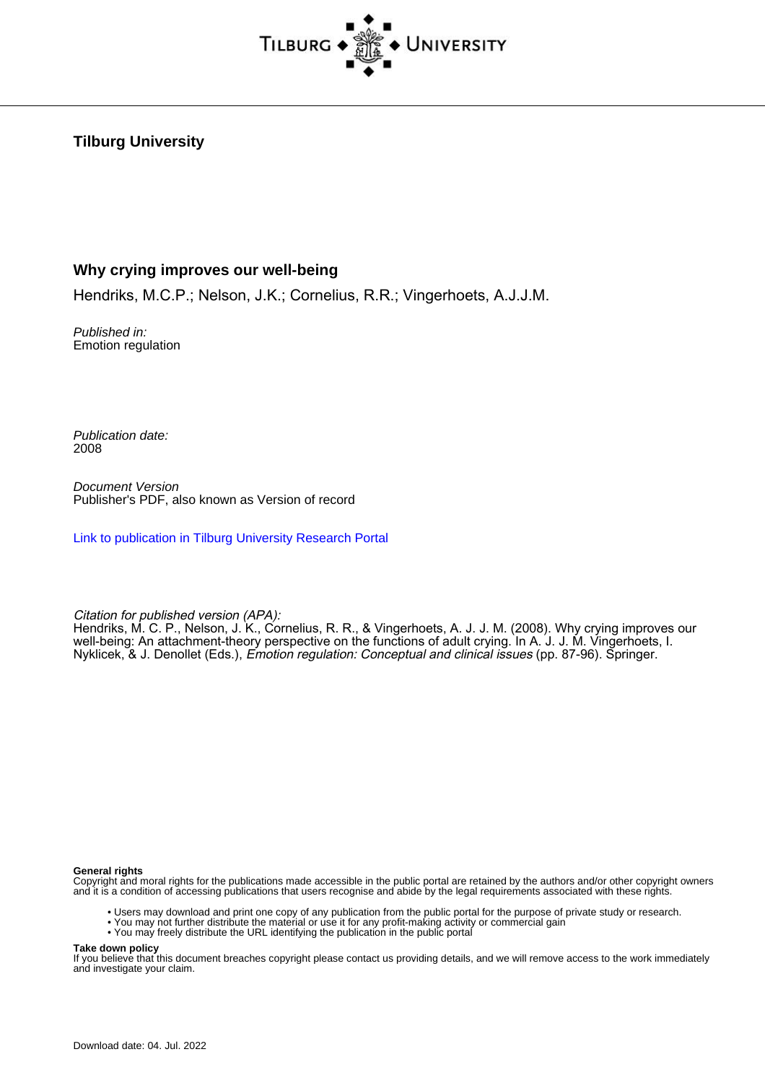

## **Tilburg University**

## **Why crying improves our well-being**

Hendriks, M.C.P.; Nelson, J.K.; Cornelius, R.R.; Vingerhoets, A.J.J.M.

Published in: Emotion regulation

Publication date: 2008

Document Version Publisher's PDF, also known as Version of record

[Link to publication in Tilburg University Research Portal](https://research.tilburguniversity.edu/en/publications/b909972e-d54d-4f2c-9ae7-651b28f4e297)

Citation for published version (APA):

Hendriks, M. C. P., Nelson, J. K., Cornelius, R. R., & Vingerhoets, A. J. J. M. (2008). Why crying improves our well-being: An attachment-theory perspective on the functions of adult crying. In A. J. J. M. Vingerhoets, I. Nyklicek, & J. Denollet (Eds.), Emotion regulation: Conceptual and clinical issues (pp. 87-96). Springer.

#### **General rights**

Copyright and moral rights for the publications made accessible in the public portal are retained by the authors and/or other copyright owners and it is a condition of accessing publications that users recognise and abide by the legal requirements associated with these rights.

- Users may download and print one copy of any publication from the public portal for the purpose of private study or research.
- You may not further distribute the material or use it for any profit-making activity or commercial gain
- You may freely distribute the URL identifying the publication in the public portal

#### **Take down policy**

If you believe that this document breaches copyright please contact us providing details, and we will remove access to the work immediately and investigate your claim.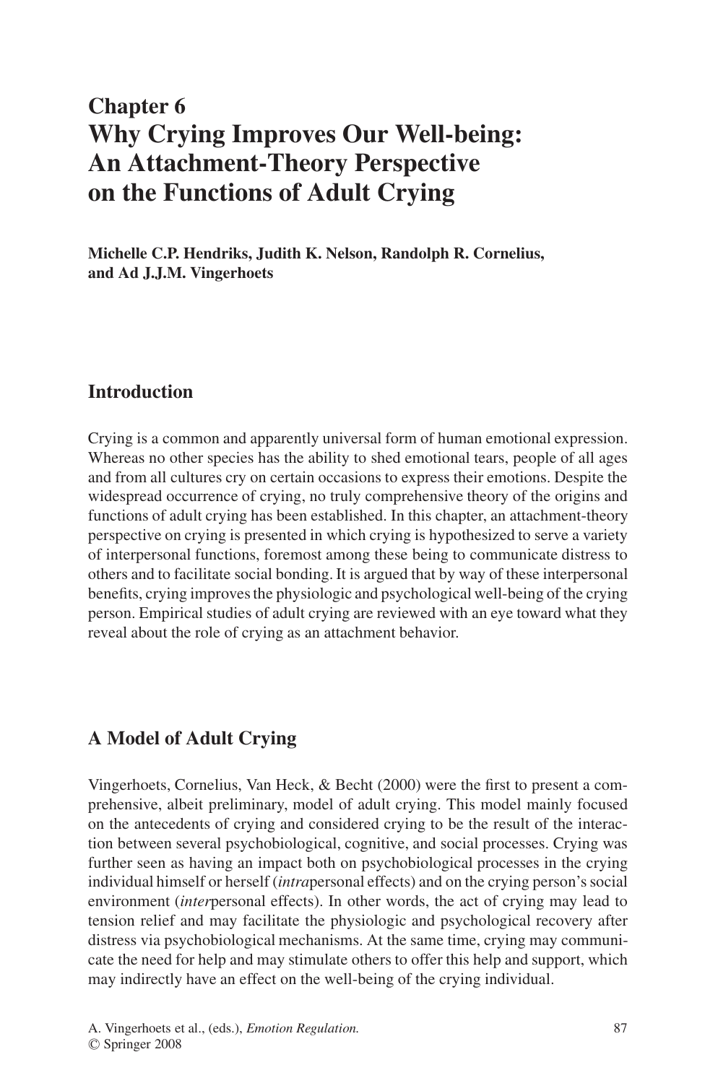# **Chapter 6 Why Crying Improves Our Well-being: An Attachment-Theory Perspective on the Functions of Adult Crying**

**Michelle C.P. Hendriks, Judith K. Nelson, Randolph R. Cornelius, and Ad J.J.M. Vingerhoets**

#### **Introduction**

Crying is a common and apparently universal form of human emotional expression. Whereas no other species has the ability to shed emotional tears, people of all ages and from all cultures cry on certain occasions to express their emotions. Despite the widespread occurrence of crying, no truly comprehensive theory of the origins and functions of adult crying has been established. In this chapter, an attachment-theory perspective on crying is presented in which crying is hypothesized to serve a variety of interpersonal functions, foremost among these being to communicate distress to others and to facilitate social bonding. It is argued that by way of these interpersonal benefits, crying improves the physiologic and psychological well-being of the crying person. Empirical studies of adult crying are reviewed with an eye toward what they reveal about the role of crying as an attachment behavior.

## **A Model of Adult Crying**

Vingerhoets, Cornelius, Van Heck, & Becht (2000) were the first to present a comprehensive, albeit preliminary, model of adult crying. This model mainly focused on the antecedents of crying and considered crying to be the result of the interaction between several psychobiological, cognitive, and social processes. Crying was further seen as having an impact both on psychobiological processes in the crying individual himself or herself (*intra*personal effects) and on the crying person's social environment (*inter*personal effects). In other words, the act of crying may lead to tension relief and may facilitate the physiologic and psychological recovery after distress via psychobiological mechanisms. At the same time, crying may communicate the need for help and may stimulate others to offer this help and support, which may indirectly have an effect on the well-being of the crying individual.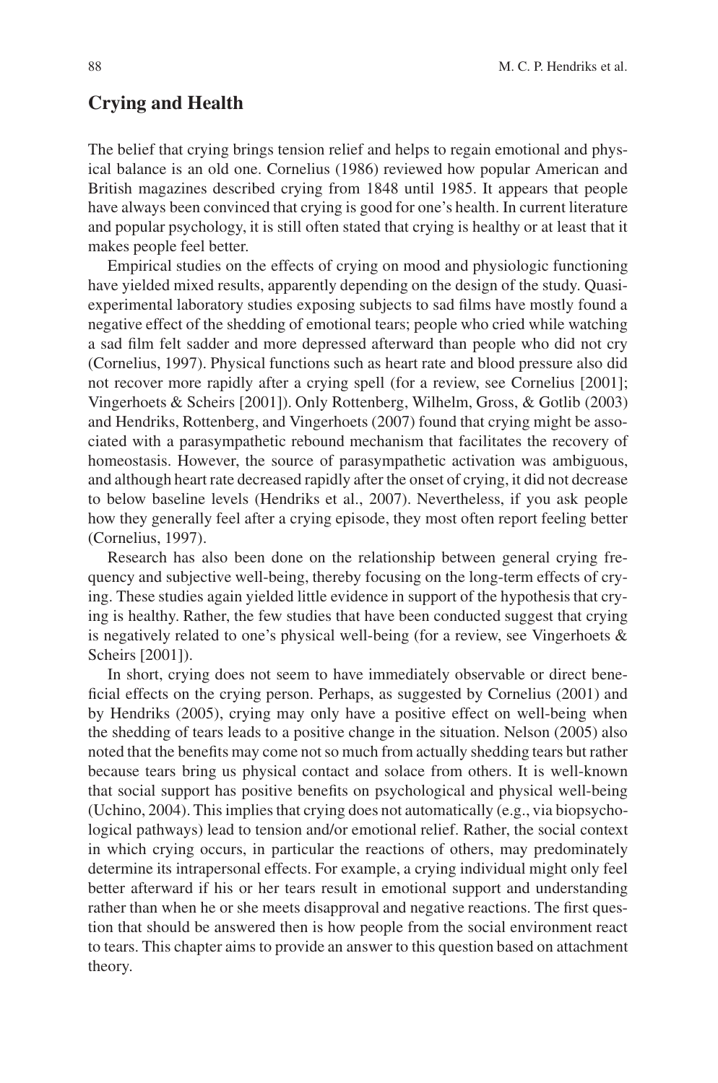#### **Crying and Health**

The belief that crying brings tension relief and helps to regain emotional and physical balance is an old one. Cornelius (1986) reviewed how popular American and British magazines described crying from 1848 until 1985. It appears that people have always been convinced that crying is good for one's health. In current literature and popular psychology, it is still often stated that crying is healthy or at least that it makes people feel better.

Empirical studies on the effects of crying on mood and physiologic functioning have yielded mixed results, apparently depending on the design of the study. Quasiexperimental laboratory studies exposing subjects to sad films have mostly found a negative effect of the shedding of emotional tears; people who cried while watching a sad film felt sadder and more depressed afterward than people who did not cry (Cornelius, 1997). Physical functions such as heart rate and blood pressure also did not recover more rapidly after a crying spell (for a review, see Cornelius [2001]; Vingerhoets & Scheirs [2001]). Only Rottenberg, Wilhelm, Gross, & Gotlib (2003) and Hendriks, Rottenberg, and Vingerhoets (2007) found that crying might be associated with a parasympathetic rebound mechanism that facilitates the recovery of homeostasis. However, the source of parasympathetic activation was ambiguous, and although heart rate decreased rapidly after the onset of crying, it did not decrease to below baseline levels (Hendriks et al., 2007). Nevertheless, if you ask people how they generally feel after a crying episode, they most often report feeling better (Cornelius, 1997).

Research has also been done on the relationship between general crying frequency and subjective well-being, thereby focusing on the long-term effects of crying. These studies again yielded little evidence in support of the hypothesis that crying is healthy. Rather, the few studies that have been conducted suggest that crying is negatively related to one's physical well-being (for a review, see Vingerhoets  $\&$ Scheirs [2001]).

In short, crying does not seem to have immediately observable or direct beneficial effects on the crying person. Perhaps, as suggested by Cornelius (2001) and by Hendriks (2005), crying may only have a positive effect on well-being when the shedding of tears leads to a positive change in the situation. Nelson (2005) also noted that the benefits may come not so much from actually shedding tears but rather because tears bring us physical contact and solace from others. It is well-known that social support has positive benefits on psychological and physical well-being (Uchino, 2004). This implies that crying does not automatically (e.g., via biopsychological pathways) lead to tension and/or emotional relief. Rather, the social context in which crying occurs, in particular the reactions of others, may predominately determine its intrapersonal effects. For example, a crying individual might only feel better afterward if his or her tears result in emotional support and understanding rather than when he or she meets disapproval and negative reactions. The first question that should be answered then is how people from the social environment react to tears. This chapter aims to provide an answer to this question based on attachment theory.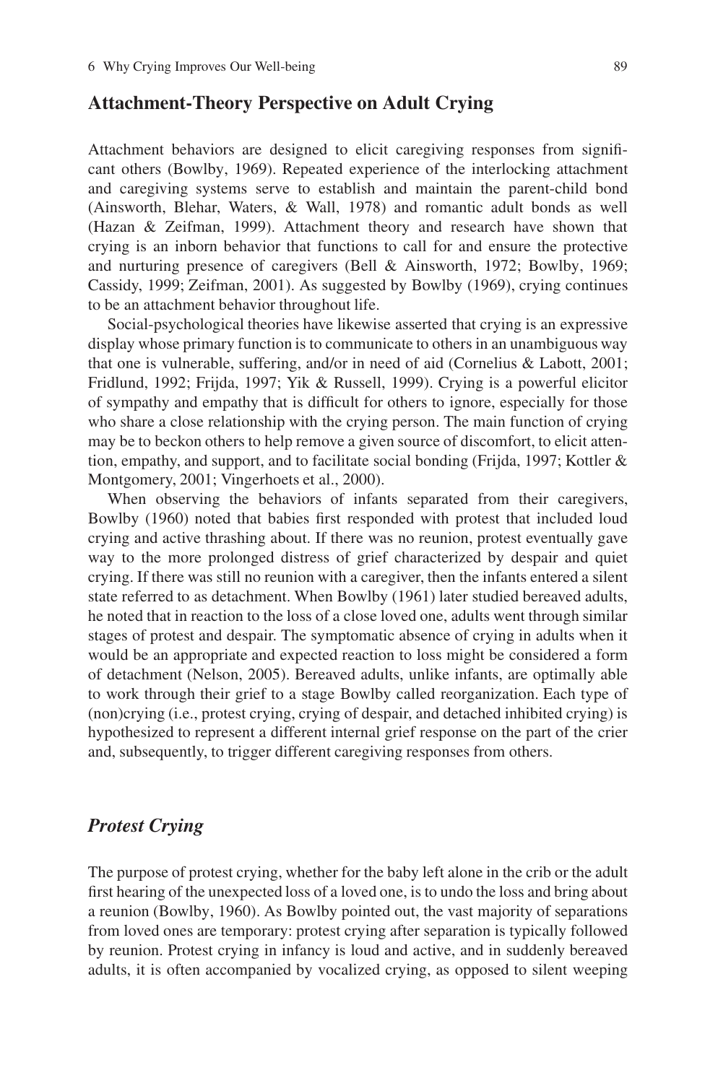#### **Attachment-Theory Perspective on Adult Crying**

Attachment behaviors are designed to elicit caregiving responses from significant others (Bowlby, 1969). Repeated experience of the interlocking attachment and caregiving systems serve to establish and maintain the parent-child bond (Ainsworth, Blehar, Waters, & Wall, 1978) and romantic adult bonds as well (Hazan & Zeifman, 1999). Attachment theory and research have shown that crying is an inborn behavior that functions to call for and ensure the protective and nurturing presence of caregivers (Bell & Ainsworth, 1972; Bowlby, 1969; Cassidy, 1999; Zeifman, 2001). As suggested by Bowlby (1969), crying continues to be an attachment behavior throughout life.

Social-psychological theories have likewise asserted that crying is an expressive display whose primary function is to communicate to others in an unambiguous way that one is vulnerable, suffering, and/or in need of aid (Cornelius & Labott, 2001; Fridlund, 1992; Frijda, 1997; Yik & Russell, 1999). Crying is a powerful elicitor of sympathy and empathy that is difficult for others to ignore, especially for those who share a close relationship with the crying person. The main function of crying may be to beckon others to help remove a given source of discomfort, to elicit attention, empathy, and support, and to facilitate social bonding (Frijda, 1997; Kottler & Montgomery, 2001; Vingerhoets et al., 2000).

When observing the behaviors of infants separated from their caregivers, Bowlby (1960) noted that babies first responded with protest that included loud crying and active thrashing about. If there was no reunion, protest eventually gave way to the more prolonged distress of grief characterized by despair and quiet crying. If there was still no reunion with a caregiver, then the infants entered a silent state referred to as detachment. When Bowlby (1961) later studied bereaved adults, he noted that in reaction to the loss of a close loved one, adults went through similar stages of protest and despair. The symptomatic absence of crying in adults when it would be an appropriate and expected reaction to loss might be considered a form of detachment (Nelson, 2005). Bereaved adults, unlike infants, are optimally able to work through their grief to a stage Bowlby called reorganization. Each type of (non)crying (i.e., protest crying, crying of despair, and detached inhibited crying) is hypothesized to represent a different internal grief response on the part of the crier and, subsequently, to trigger different caregiving responses from others.

#### *Protest Crying*

The purpose of protest crying, whether for the baby left alone in the crib or the adult first hearing of the unexpected loss of a loved one, is to undo the loss and bring about a reunion (Bowlby, 1960). As Bowlby pointed out, the vast majority of separations from loved ones are temporary: protest crying after separation is typically followed by reunion. Protest crying in infancy is loud and active, and in suddenly bereaved adults, it is often accompanied by vocalized crying, as opposed to silent weeping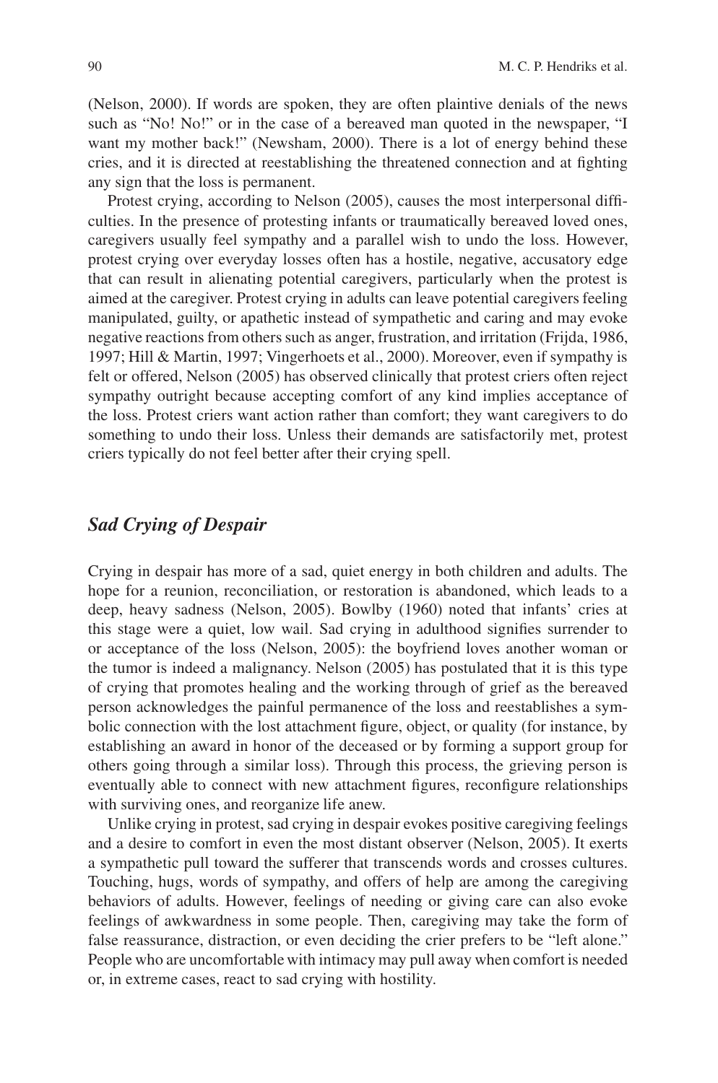(Nelson, 2000). If words are spoken, they are often plaintive denials of the news such as "No! No!" or in the case of a bereaved man quoted in the newspaper, "I want my mother back!" (Newsham, 2000). There is a lot of energy behind these cries, and it is directed at reestablishing the threatened connection and at fighting any sign that the loss is permanent.

Protest crying, according to Nelson (2005), causes the most interpersonal difficulties. In the presence of protesting infants or traumatically bereaved loved ones, caregivers usually feel sympathy and a parallel wish to undo the loss. However, protest crying over everyday losses often has a hostile, negative, accusatory edge that can result in alienating potential caregivers, particularly when the protest is aimed at the caregiver. Protest crying in adults can leave potential caregivers feeling manipulated, guilty, or apathetic instead of sympathetic and caring and may evoke negative reactions from others such as anger, frustration, and irritation (Frijda, 1986, 1997; Hill & Martin, 1997; Vingerhoets et al., 2000). Moreover, even if sympathy is felt or offered, Nelson (2005) has observed clinically that protest criers often reject sympathy outright because accepting comfort of any kind implies acceptance of the loss. Protest criers want action rather than comfort; they want caregivers to do something to undo their loss. Unless their demands are satisfactorily met, protest criers typically do not feel better after their crying spell.

#### *Sad Crying of Despair*

Crying in despair has more of a sad, quiet energy in both children and adults. The hope for a reunion, reconciliation, or restoration is abandoned, which leads to a deep, heavy sadness (Nelson, 2005). Bowlby (1960) noted that infants' cries at this stage were a quiet, low wail. Sad crying in adulthood signifies surrender to or acceptance of the loss (Nelson, 2005): the boyfriend loves another woman or the tumor is indeed a malignancy. Nelson (2005) has postulated that it is this type of crying that promotes healing and the working through of grief as the bereaved person acknowledges the painful permanence of the loss and reestablishes a symbolic connection with the lost attachment figure, object, or quality (for instance, by establishing an award in honor of the deceased or by forming a support group for others going through a similar loss). Through this process, the grieving person is eventually able to connect with new attachment figures, reconfigure relationships with surviving ones, and reorganize life anew.

Unlike crying in protest, sad crying in despair evokes positive caregiving feelings and a desire to comfort in even the most distant observer (Nelson, 2005). It exerts a sympathetic pull toward the sufferer that transcends words and crosses cultures. Touching, hugs, words of sympathy, and offers of help are among the caregiving behaviors of adults. However, feelings of needing or giving care can also evoke feelings of awkwardness in some people. Then, caregiving may take the form of false reassurance, distraction, or even deciding the crier prefers to be "left alone." People who are uncomfortable with intimacy may pull away when comfort is needed or, in extreme cases, react to sad crying with hostility.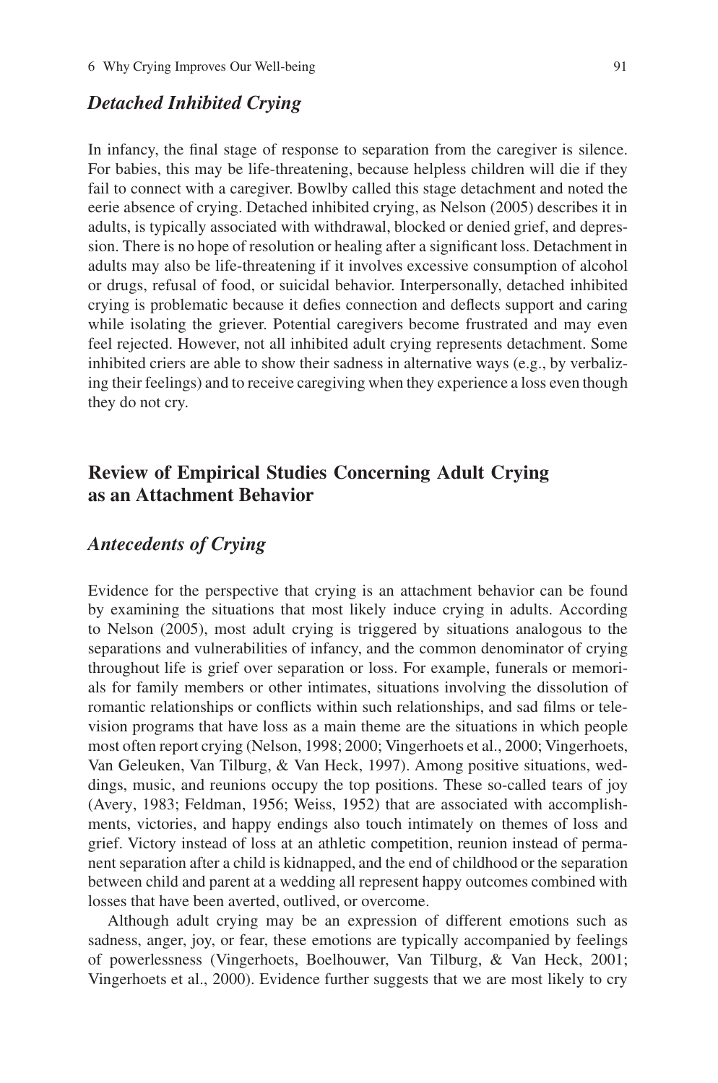#### *Detached Inhibited Crying*

In infancy, the final stage of response to separation from the caregiver is silence. For babies, this may be life-threatening, because helpless children will die if they fail to connect with a caregiver. Bowlby called this stage detachment and noted the eerie absence of crying. Detached inhibited crying, as Nelson (2005) describes it in adults, is typically associated with withdrawal, blocked or denied grief, and depression. There is no hope of resolution or healing after a significant loss. Detachment in adults may also be life-threatening if it involves excessive consumption of alcohol or drugs, refusal of food, or suicidal behavior. Interpersonally, detached inhibited crying is problematic because it defies connection and deflects support and caring while isolating the griever. Potential caregivers become frustrated and may even feel rejected. However, not all inhibited adult crying represents detachment. Some inhibited criers are able to show their sadness in alternative ways (e.g., by verbalizing their feelings) and to receive caregiving when they experience a loss even though they do not cry.

### **Review of Empirical Studies Concerning Adult Crying as an Attachment Behavior**

#### *Antecedents of Crying*

Evidence for the perspective that crying is an attachment behavior can be found by examining the situations that most likely induce crying in adults. According to Nelson (2005), most adult crying is triggered by situations analogous to the separations and vulnerabilities of infancy, and the common denominator of crying throughout life is grief over separation or loss. For example, funerals or memorials for family members or other intimates, situations involving the dissolution of romantic relationships or conflicts within such relationships, and sad films or television programs that have loss as a main theme are the situations in which people most often report crying (Nelson, 1998; 2000; Vingerhoets et al., 2000; Vingerhoets, Van Geleuken, Van Tilburg, & Van Heck, 1997). Among positive situations, weddings, music, and reunions occupy the top positions. These so-called tears of joy (Avery, 1983; Feldman, 1956; Weiss, 1952) that are associated with accomplishments, victories, and happy endings also touch intimately on themes of loss and grief. Victory instead of loss at an athletic competition, reunion instead of permanent separation after a child is kidnapped, and the end of childhood or the separation between child and parent at a wedding all represent happy outcomes combined with losses that have been averted, outlived, or overcome.

Although adult crying may be an expression of different emotions such as sadness, anger, joy, or fear, these emotions are typically accompanied by feelings of powerlessness (Vingerhoets, Boelhouwer, Van Tilburg, & Van Heck, 2001; Vingerhoets et al., 2000). Evidence further suggests that we are most likely to cry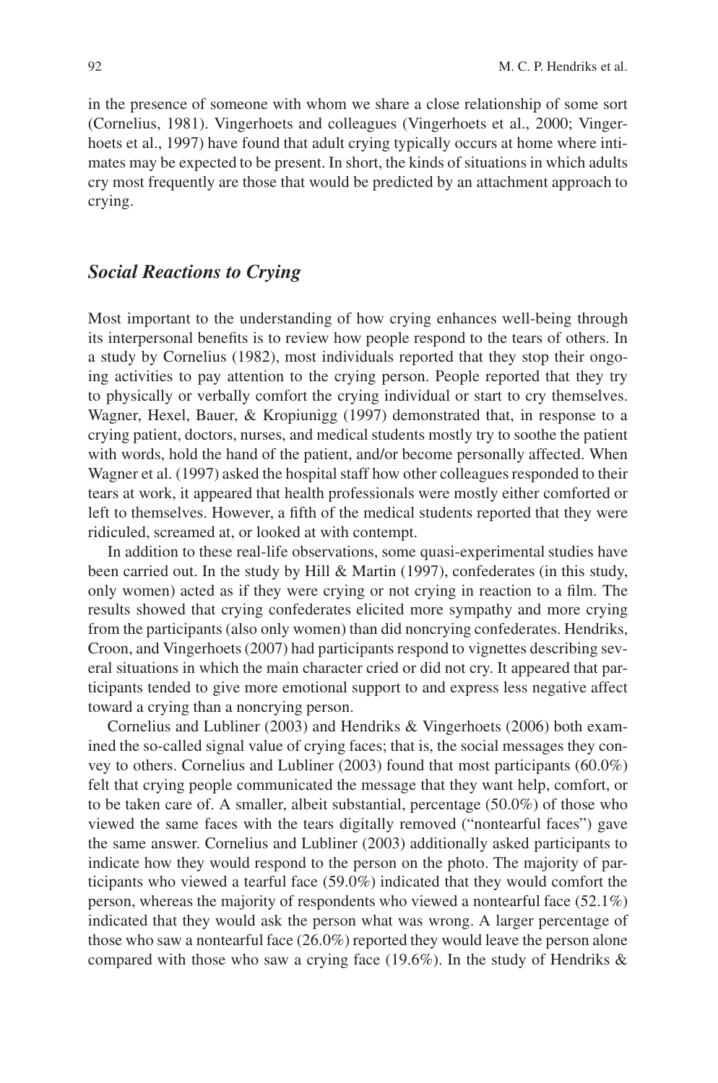in the presence of someone with whom we share a close relationship of some sort (Cornelius, 1981). Vingerhoets and colleagues (Vingerhoets et al., 2000; Vingerhoets et al., 1997) have found that adult crying typically occurs at home where intimates may be expected to be present. In short, the kinds of situations in which adults cry most frequently are those that would be predicted by an attachment approach to crying.

#### *Social Reactions to Crying*

Most important to the understanding of how crying enhances well-being through its interpersonal benefits is to review how people respond to the tears of others. In a study by Cornelius (1982), most individuals reported that they stop their ongoing activities to pay attention to the crying person. People reported that they try to physically or verbally comfort the crying individual or start to cry themselves. Wagner, Hexel, Bauer, & Kropiunigg (1997) demonstrated that, in response to a crying patient, doctors, nurses, and medical students mostly try to soothe the patient with words, hold the hand of the patient, and/or become personally affected. When Wagner et al. (1997) asked the hospital staff how other colleagues responded to their tears at work, it appeared that health professionals were mostly either comforted or left to themselves. However, a fifth of the medical students reported that they were ridiculed, screamed at, or looked at with contempt.

In addition to these real-life observations, some quasi-experimental studies have been carried out. In the study by Hill & Martin (1997), confederates (in this study, only women) acted as if they were crying or not crying in reaction to a film. The results showed that crying confederates elicited more sympathy and more crying from the participants (also only women) than did noncrying confederates. Hendriks, Croon, and Vingerhoets (2007) had participants respond to vignettes describing several situations in which the main character cried or did not cry. It appeared that participants tended to give more emotional support to and express less negative affect toward a crying than a noncrying person.

Cornelius and Lubliner (2003) and Hendriks & Vingerhoets (2006) both examined the so-called signal value of crying faces; that is, the social messages they convey to others. Cornelius and Lubliner (2003) found that most participants (60.0%) felt that crying people communicated the message that they want help, comfort, or to be taken care of. A smaller, albeit substantial, percentage (50.0%) of those who viewed the same faces with the tears digitally removed ("nontearful faces") gave the same answer. Cornelius and Lubliner (2003) additionally asked participants to indicate how they would respond to the person on the photo. The majority of participants who viewed a tearful face (59.0%) indicated that they would comfort the person, whereas the majority of respondents who viewed a nontearful face (52.1%) indicated that they would ask the person what was wrong. A larger percentage of those who saw a nontearful face (26.0%) reported they would leave the person alone compared with those who saw a crying face (19.6%). In the study of Hendriks  $\&$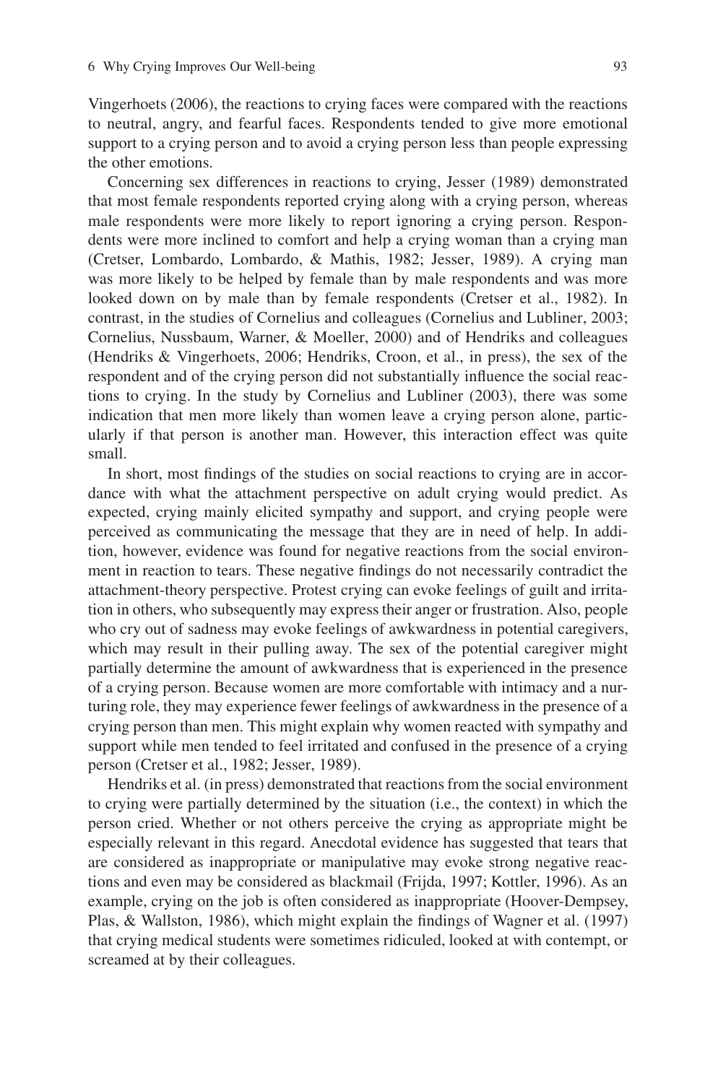Vingerhoets (2006), the reactions to crying faces were compared with the reactions to neutral, angry, and fearful faces. Respondents tended to give more emotional support to a crying person and to avoid a crying person less than people expressing the other emotions.

Concerning sex differences in reactions to crying, Jesser (1989) demonstrated that most female respondents reported crying along with a crying person, whereas male respondents were more likely to report ignoring a crying person. Respondents were more inclined to comfort and help a crying woman than a crying man (Cretser, Lombardo, Lombardo, & Mathis, 1982; Jesser, 1989). A crying man was more likely to be helped by female than by male respondents and was more looked down on by male than by female respondents (Cretser et al., 1982). In contrast, in the studies of Cornelius and colleagues (Cornelius and Lubliner, 2003; Cornelius, Nussbaum, Warner, & Moeller, 2000) and of Hendriks and colleagues (Hendriks & Vingerhoets, 2006; Hendriks, Croon, et al., in press), the sex of the respondent and of the crying person did not substantially influence the social reactions to crying. In the study by Cornelius and Lubliner (2003), there was some indication that men more likely than women leave a crying person alone, particularly if that person is another man. However, this interaction effect was quite small.

In short, most findings of the studies on social reactions to crying are in accordance with what the attachment perspective on adult crying would predict. As expected, crying mainly elicited sympathy and support, and crying people were perceived as communicating the message that they are in need of help. In addition, however, evidence was found for negative reactions from the social environment in reaction to tears. These negative findings do not necessarily contradict the attachment-theory perspective. Protest crying can evoke feelings of guilt and irritation in others, who subsequently may express their anger or frustration. Also, people who cry out of sadness may evoke feelings of awkwardness in potential caregivers, which may result in their pulling away. The sex of the potential caregiver might partially determine the amount of awkwardness that is experienced in the presence of a crying person. Because women are more comfortable with intimacy and a nurturing role, they may experience fewer feelings of awkwardness in the presence of a crying person than men. This might explain why women reacted with sympathy and support while men tended to feel irritated and confused in the presence of a crying person (Cretser et al., 1982; Jesser, 1989).

Hendriks et al. (in press) demonstrated that reactions from the social environment to crying were partially determined by the situation (i.e., the context) in which the person cried. Whether or not others perceive the crying as appropriate might be especially relevant in this regard. Anecdotal evidence has suggested that tears that are considered as inappropriate or manipulative may evoke strong negative reactions and even may be considered as blackmail (Frijda, 1997; Kottler, 1996). As an example, crying on the job is often considered as inappropriate (Hoover-Dempsey, Plas, & Wallston, 1986), which might explain the findings of Wagner et al. (1997) that crying medical students were sometimes ridiculed, looked at with contempt, or screamed at by their colleagues.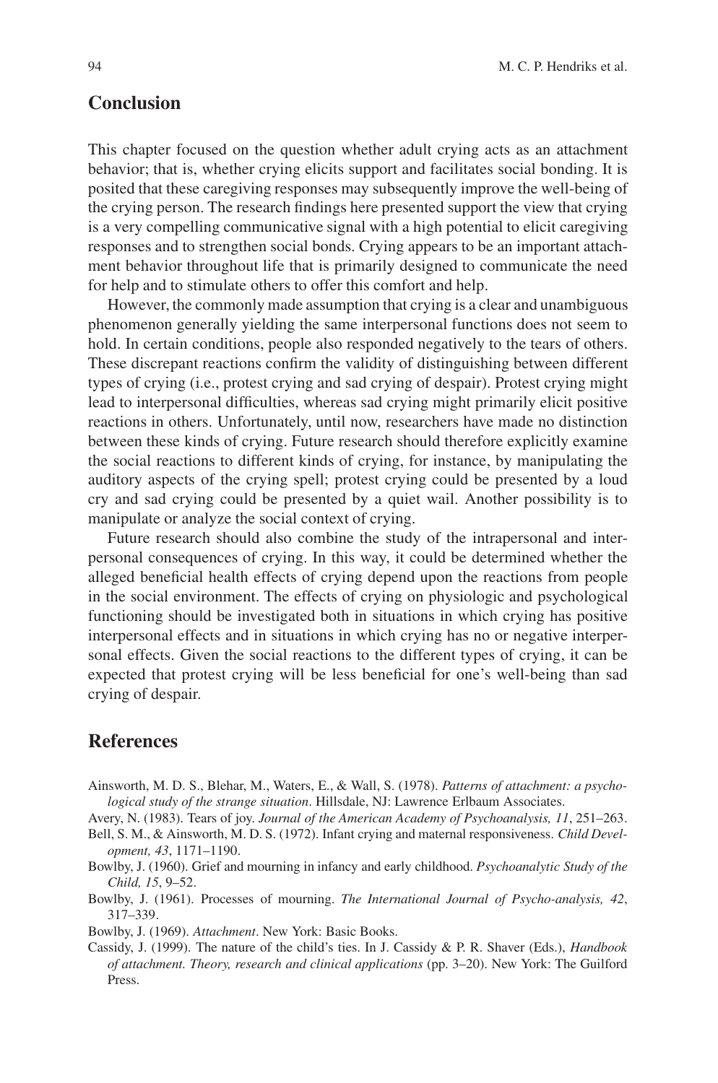#### **Conclusion**

This chapter focused on the question whether adult crying acts as an attachment behavior; that is, whether crying elicits support and facilitates social bonding. It is posited that these caregiving responses may subsequently improve the well-being of the crying person. The research findings here presented support the view that crying is a very compelling communicative signal with a high potential to elicit caregiving responses and to strengthen social bonds. Crying appears to be an important attachment behavior throughout life that is primarily designed to communicate the need for help and to stimulate others to offer this comfort and help.

However, the commonly made assumption that crying is a clear and unambiguous phenomenon generally yielding the same interpersonal functions does not seem to hold. In certain conditions, people also responded negatively to the tears of others. These discrepant reactions confirm the validity of distinguishing between different types of crying (i.e., protest crying and sad crying of despair). Protest crying might lead to interpersonal difficulties, whereas sad crying might primarily elicit positive reactions in others. Unfortunately, until now, researchers have made no distinction between these kinds of crying. Future research should therefore explicitly examine the social reactions to different kinds of crying, for instance, by manipulating the auditory aspects of the crying spell; protest crying could be presented by a loud cry and sad crying could be presented by a quiet wail. Another possibility is to manipulate or analyze the social context of crying.

Future research should also combine the study of the intrapersonal and interpersonal consequences of crying. In this way, it could be determined whether the alleged beneficial health effects of crying depend upon the reactions from people in the social environment. The effects of crying on physiologic and psychological functioning should be investigated both in situations in which crying has positive interpersonal effects and in situations in which crying has no or negative interpersonal effects. Given the social reactions to the different types of crying, it can be expected that protest crying will be less beneficial for one's well-being than sad crying of despair.

#### **References**

- Ainsworth, M. D. S., Blehar, M., Waters, E., & Wall, S. (1978). *Patterns of attachment: a psychological study of the strange situation*. Hillsdale, NJ: Lawrence Erlbaum Associates.
- Avery, N. (1983). Tears of joy. *Journal of the American Academy of Psychoanalysis, 11*, 251–263.
- Bell, S. M., & Ainsworth, M. D. S. (1972). Infant crying and maternal responsiveness. *Child Development, 43*, 1171–1190.
- Bowlby, J. (1960). Grief and mourning in infancy and early childhood. *Psychoanalytic Study of the Child, 15*, 9–52.
- Bowlby, J. (1961). Processes of mourning. *The International Journal of Psycho-analysis, 42*, 317–339.
- Bowlby, J. (1969). *Attachment*. New York: Basic Books.
- Cassidy, J. (1999). The nature of the child's ties. In J. Cassidy & P. R. Shaver (Eds.), *Handbook of attachment. Theory, research and clinical applications* (pp. 3–20). New York: The Guilford Press.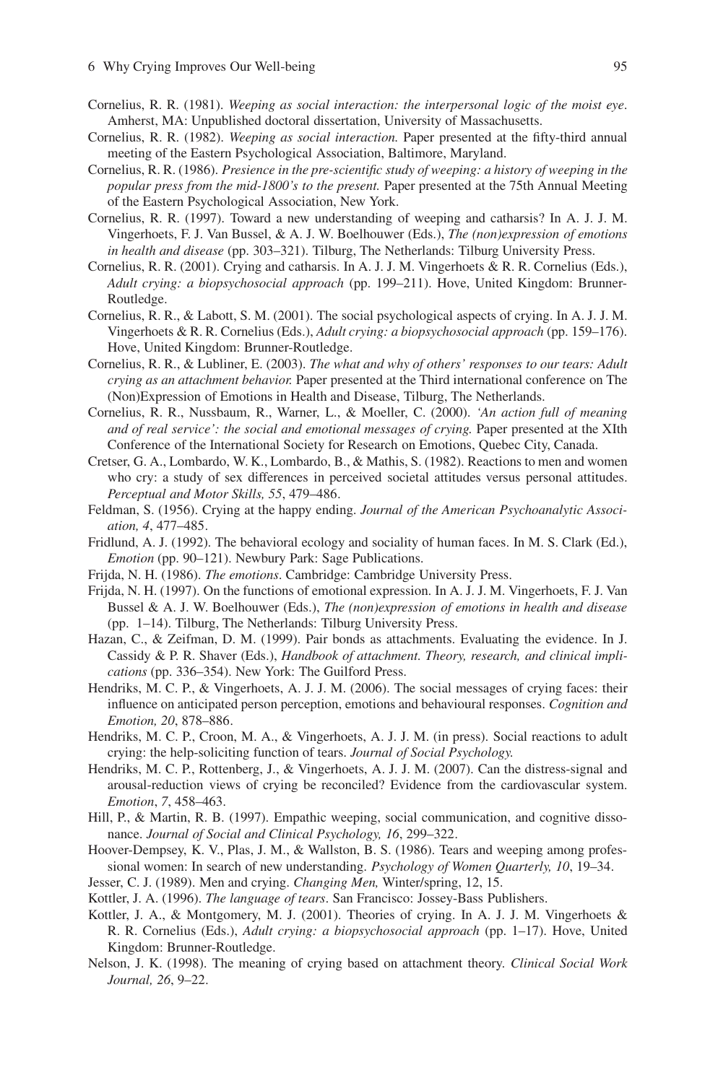- Cornelius, R. R. (1981). *Weeping as social interaction: the interpersonal logic of the moist eye*. Amherst, MA: Unpublished doctoral dissertation, University of Massachusetts.
- Cornelius, R. R. (1982). *Weeping as social interaction.* Paper presented at the fifty-third annual meeting of the Eastern Psychological Association, Baltimore, Maryland.
- Cornelius, R. R. (1986). *Presience in the pre-scientific study of weeping: a history of weeping in the popular press from the mid-1800's to the present.* Paper presented at the 75th Annual Meeting of the Eastern Psychological Association, New York.
- Cornelius, R. R. (1997). Toward a new understanding of weeping and catharsis? In A. J. J. M. Vingerhoets, F. J. Van Bussel, & A. J. W. Boelhouwer (Eds.), *The (non)expression of emotions in health and disease* (pp. 303–321). Tilburg, The Netherlands: Tilburg University Press.
- Cornelius, R. R. (2001). Crying and catharsis. In A. J. J. M. Vingerhoets & R. R. Cornelius (Eds.), *Adult crying: a biopsychosocial approach* (pp. 199–211). Hove, United Kingdom: Brunner-Routledge.
- Cornelius, R. R., & Labott, S. M. (2001). The social psychological aspects of crying. In A. J. J. M. Vingerhoets & R. R. Cornelius (Eds.), *Adult crying: a biopsychosocial approach* (pp. 159–176). Hove, United Kingdom: Brunner-Routledge.
- Cornelius, R. R., & Lubliner, E. (2003). *The what and why of others' responses to our tears: Adult crying as an attachment behavior.* Paper presented at the Third international conference on The (Non)Expression of Emotions in Health and Disease, Tilburg, The Netherlands.
- Cornelius, R. R., Nussbaum, R., Warner, L., & Moeller, C. (2000). *'An action full of meaning and of real service': the social and emotional messages of crying.* Paper presented at the XIth Conference of the International Society for Research on Emotions, Quebec City, Canada.
- Cretser, G. A., Lombardo, W. K., Lombardo, B., & Mathis, S. (1982). Reactions to men and women who cry: a study of sex differences in perceived societal attitudes versus personal attitudes. *Perceptual and Motor Skills, 55*, 479–486.
- Feldman, S. (1956). Crying at the happy ending. *Journal of the American Psychoanalytic Association, 4*, 477–485.
- Fridlund, A. J. (1992). The behavioral ecology and sociality of human faces. In M. S. Clark (Ed.), *Emotion* (pp. 90–121). Newbury Park: Sage Publications.
- Frijda, N. H. (1986). *The emotions*. Cambridge: Cambridge University Press.
- Frijda, N. H. (1997). On the functions of emotional expression. In A. J. J. M. Vingerhoets, F. J. Van Bussel & A. J. W. Boelhouwer (Eds.), *The (non)expression of emotions in health and disease* (pp. 1–14). Tilburg, The Netherlands: Tilburg University Press.
- Hazan, C., & Zeifman, D. M. (1999). Pair bonds as attachments. Evaluating the evidence. In J. Cassidy & P. R. Shaver (Eds.), *Handbook of attachment. Theory, research, and clinical implications* (pp. 336–354). New York: The Guilford Press.
- Hendriks, M. C. P., & Vingerhoets, A. J. J. M. (2006). The social messages of crying faces: their influence on anticipated person perception, emotions and behavioural responses. *Cognition and Emotion, 20*, 878–886.
- Hendriks, M. C. P., Croon, M. A., & Vingerhoets, A. J. J. M. (in press). Social reactions to adult crying: the help-soliciting function of tears. *Journal of Social Psychology.*
- Hendriks, M. C. P., Rottenberg, J., & Vingerhoets, A. J. J. M. (2007). Can the distress-signal and arousal-reduction views of crying be reconciled? Evidence from the cardiovascular system. *Emotion*, *7*, 458–463.
- Hill, P., & Martin, R. B. (1997). Empathic weeping, social communication, and cognitive dissonance. *Journal of Social and Clinical Psychology, 16*, 299–322.
- Hoover-Dempsey, K. V., Plas, J. M., & Wallston, B. S. (1986). Tears and weeping among professional women: In search of new understanding. *Psychology of Women Quarterly, 10*, 19–34.
- Jesser, C. J. (1989). Men and crying. *Changing Men,* Winter/spring, 12, 15.
- Kottler, J. A. (1996). *The language of tears*. San Francisco: Jossey-Bass Publishers.
- Kottler, J. A., & Montgomery, M. J. (2001). Theories of crying. In A. J. J. M. Vingerhoets & R. R. Cornelius (Eds.), *Adult crying: a biopsychosocial approach* (pp. 1–17). Hove, United Kingdom: Brunner-Routledge.
- Nelson, J. K. (1998). The meaning of crying based on attachment theory. *Clinical Social Work Journal, 26*, 9–22.